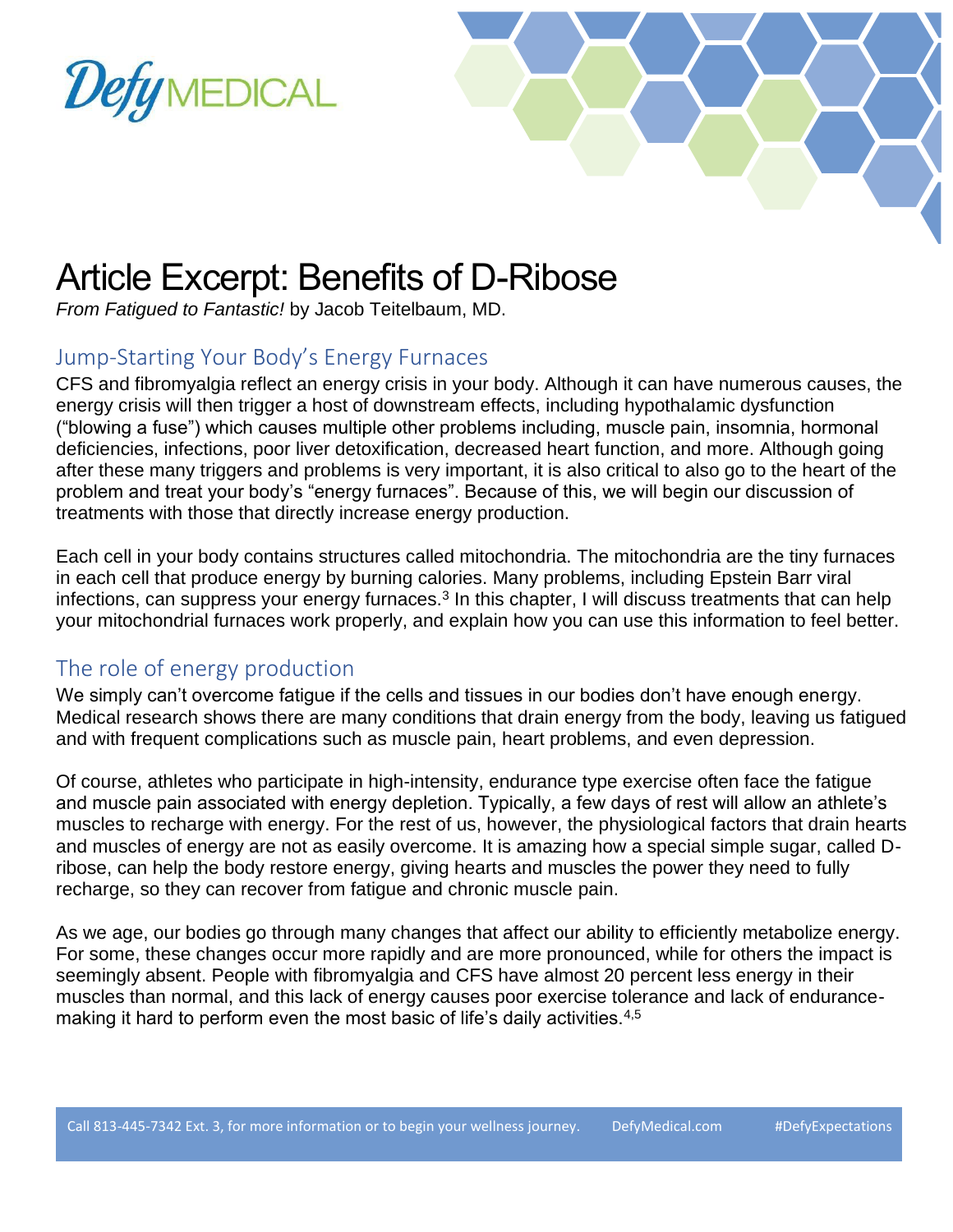



# Article Excerpt: Benefits of D-Ribose

*From Fatigued to Fantastic!* by Jacob Teitelbaum, MD.

# Jump-Starting Your Body's Energy Furnaces

CFS and fibromyalgia reflect an energy crisis in your body. Although it can have numerous causes, the energy crisis will then trigger a host of downstream effects, including hypothalamic dysfunction ("blowing a fuse") which causes multiple other problems including, muscle pain, insomnia, hormonal deficiencies, infections, poor liver detoxification, decreased heart function, and more. Although going after these many triggers and problems is very important, it is also critical to also go to the heart of the problem and treat your body's "energy furnaces". Because of this, we will begin our discussion of treatments with those that directly increase energy production.

Each cell in your body contains structures called mitochondria. The mitochondria are the tiny furnaces in each cell that produce energy by burning calories. Many problems, including Epstein Barr viral infections, can suppress your energy furnaces. $3$  In this chapter, I will discuss treatments that can help your mitochondrial furnaces work properly, and explain how you can use this information to feel better.

### The role of energy production

We simply can't overcome fatigue if the cells and tissues in our bodies don't have enough energy. Medical research shows there are many conditions that drain energy from the body, leaving us fatigued and with frequent complications such as muscle pain, heart problems, and even depression.

Of course, athletes who participate in high-intensity, endurance type exercise often face the fatigue and muscle pain associated with energy depletion. Typically, a few days of rest will allow an athlete's muscles to recharge with energy. For the rest of us, however, the physiological factors that drain hearts and muscles of energy are not as easily overcome. It is amazing how a special simple sugar, called Dribose, can help the body restore energy, giving hearts and muscles the power they need to fully recharge, so they can recover from fatigue and chronic muscle pain.

As we age, our bodies go through many changes that affect our ability to efficiently metabolize energy. For some, these changes occur more rapidly and are more pronounced, while for others the impact is seemingly absent. People with fibromyalgia and CFS have almost 20 percent less energy in their muscles than normal, and this lack of energy causes poor exercise tolerance and lack of endurancemaking it hard to perform even the most basic of life's daily activities.<sup>4,5</sup>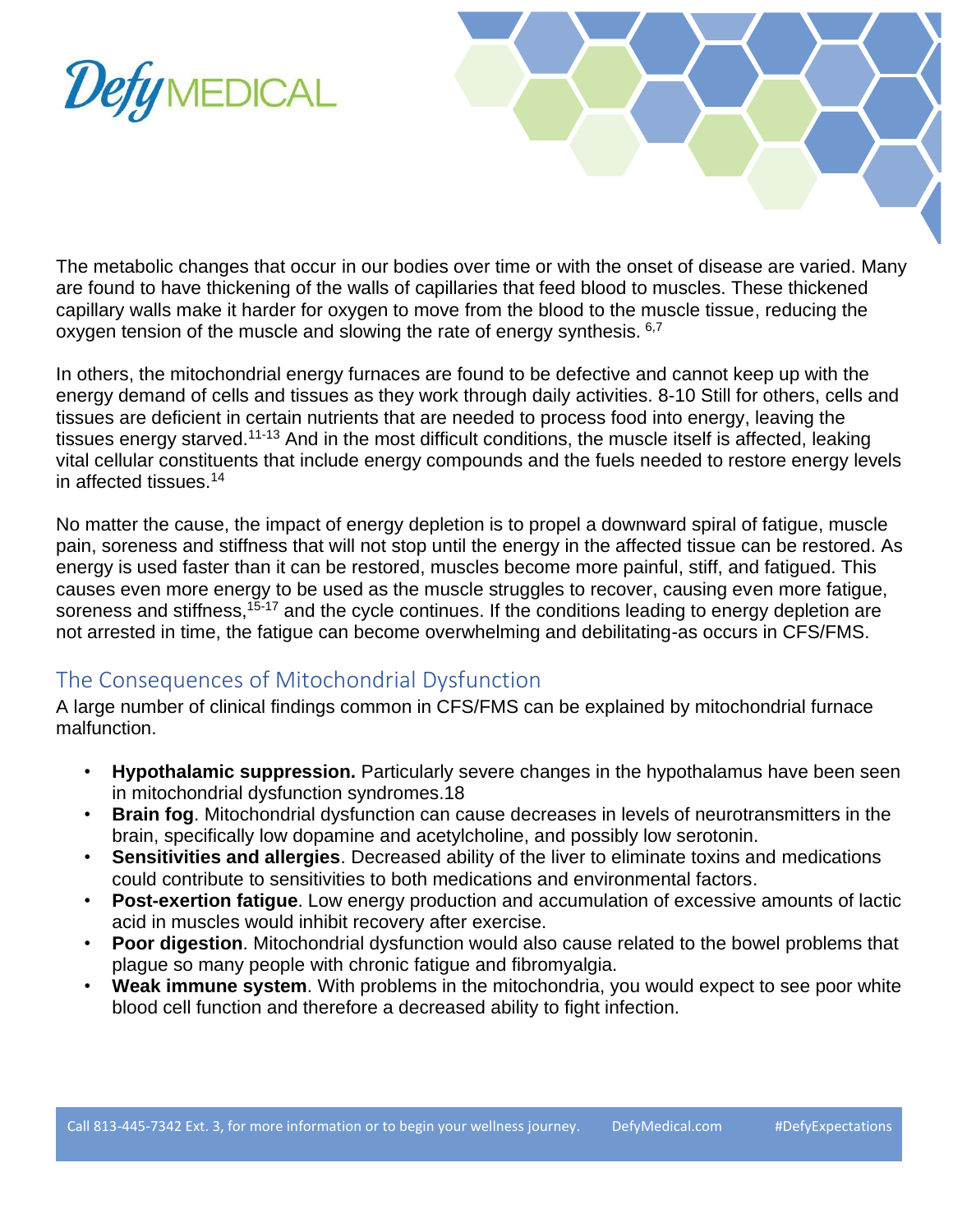



The metabolic changes that occur in our bodies over time or with the onset of disease are varied. Many are found to have thickening of the walls of capillaries that feed blood to muscles. These thickened capillary walls make it harder for oxygen to move from the blood to the muscle tissue, reducing the oxygen tension of the muscle and slowing the rate of energy synthesis. 6,7

In others, the mitochondrial energy furnaces are found to be defective and cannot keep up with the energy demand of cells and tissues as they work through daily activities. 8-10 Still for others, cells and tissues are deficient in certain nutrients that are needed to process food into energy, leaving the tissues energy starved.<sup>11-13</sup> And in the most difficult conditions, the muscle itself is affected, leaking vital cellular constituents that include energy compounds and the fuels needed to restore energy levels in affected tissues.<sup>14</sup>

No matter the cause, the impact of energy depletion is to propel a downward spiral of fatigue, muscle pain, soreness and stiffness that will not stop until the energy in the affected tissue can be restored. As energy is used faster than it can be restored, muscles become more painful, stiff, and fatigued. This causes even more energy to be used as the muscle struggles to recover, causing even more fatigue, soreness and stiffness,<sup>15-17</sup> and the cycle continues. If the conditions leading to energy depletion are not arrested in time, the fatigue can become overwhelming and debilitating-as occurs in CFS/FMS.

# The Consequences of Mitochondrial Dysfunction

A large number of clinical findings common in CFS/FMS can be explained by mitochondrial furnace malfunction.

- **Hypothalamic suppression.** Particularly severe changes in the hypothalamus have been seen in mitochondrial dysfunction syndromes.18
- **Brain fog**. Mitochondrial dysfunction can cause decreases in levels of neurotransmitters in the brain, specifically low dopamine and acetylcholine, and possibly low serotonin.
- **Sensitivities and allergies**. Decreased ability of the liver to eliminate toxins and medications could contribute to sensitivities to both medications and environmental factors.
- **Post-exertion fatigue**. Low energy production and accumulation of excessive amounts of lactic acid in muscles would inhibit recovery after exercise.
- **Poor digestion**. Mitochondrial dysfunction would also cause related to the bowel problems that plague so many people with chronic fatigue and fibromyalgia.
- **Weak immune system**. With problems in the mitochondria, you would expect to see poor white blood cell function and therefore a decreased ability to fight infection.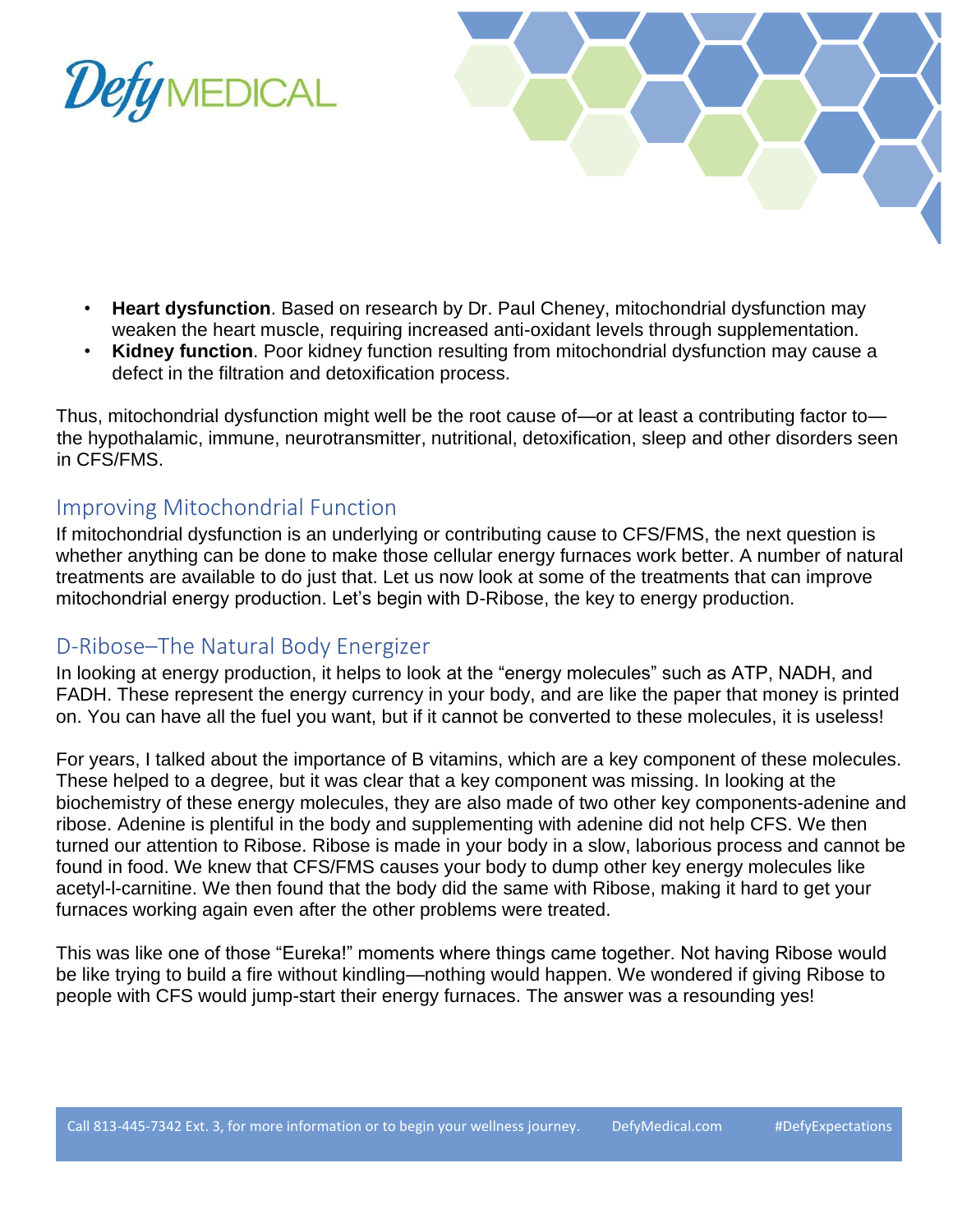



- **Heart dysfunction**. Based on research by Dr. Paul Cheney, mitochondrial dysfunction may weaken the heart muscle, requiring increased anti-oxidant levels through supplementation.
- **Kidney function**. Poor kidney function resulting from mitochondrial dysfunction may cause a defect in the filtration and detoxification process.

Thus, mitochondrial dysfunction might well be the root cause of—or at least a contributing factor to the hypothalamic, immune, neurotransmitter, nutritional, detoxification, sleep and other disorders seen in CFS/FMS.

# Improving Mitochondrial Function

If mitochondrial dysfunction is an underlying or contributing cause to CFS/FMS, the next question is whether anything can be done to make those cellular energy furnaces work better. A number of natural treatments are available to do just that. Let us now look at some of the treatments that can improve mitochondrial energy production. Let's begin with D-Ribose, the key to energy production.

#### D-Ribose–The Natural Body Energizer

In looking at energy production, it helps to look at the "energy molecules" such as ATP, NADH, and FADH. These represent the energy currency in your body, and are like the paper that money is printed on. You can have all the fuel you want, but if it cannot be converted to these molecules, it is useless!

For years, I talked about the importance of B vitamins, which are a key component of these molecules. These helped to a degree, but it was clear that a key component was missing. In looking at the biochemistry of these energy molecules, they are also made of two other key components-adenine and ribose. Adenine is plentiful in the body and supplementing with adenine did not help CFS. We then turned our attention to Ribose. Ribose is made in your body in a slow, laborious process and cannot be found in food. We knew that CFS/FMS causes your body to dump other key energy molecules like acetyl-l-carnitine. We then found that the body did the same with Ribose, making it hard to get your furnaces working again even after the other problems were treated.

This was like one of those "Eureka!" moments where things came together. Not having Ribose would be like trying to build a fire without kindling—nothing would happen. We wondered if giving Ribose to people with CFS would jump-start their energy furnaces. The answer was a resounding yes!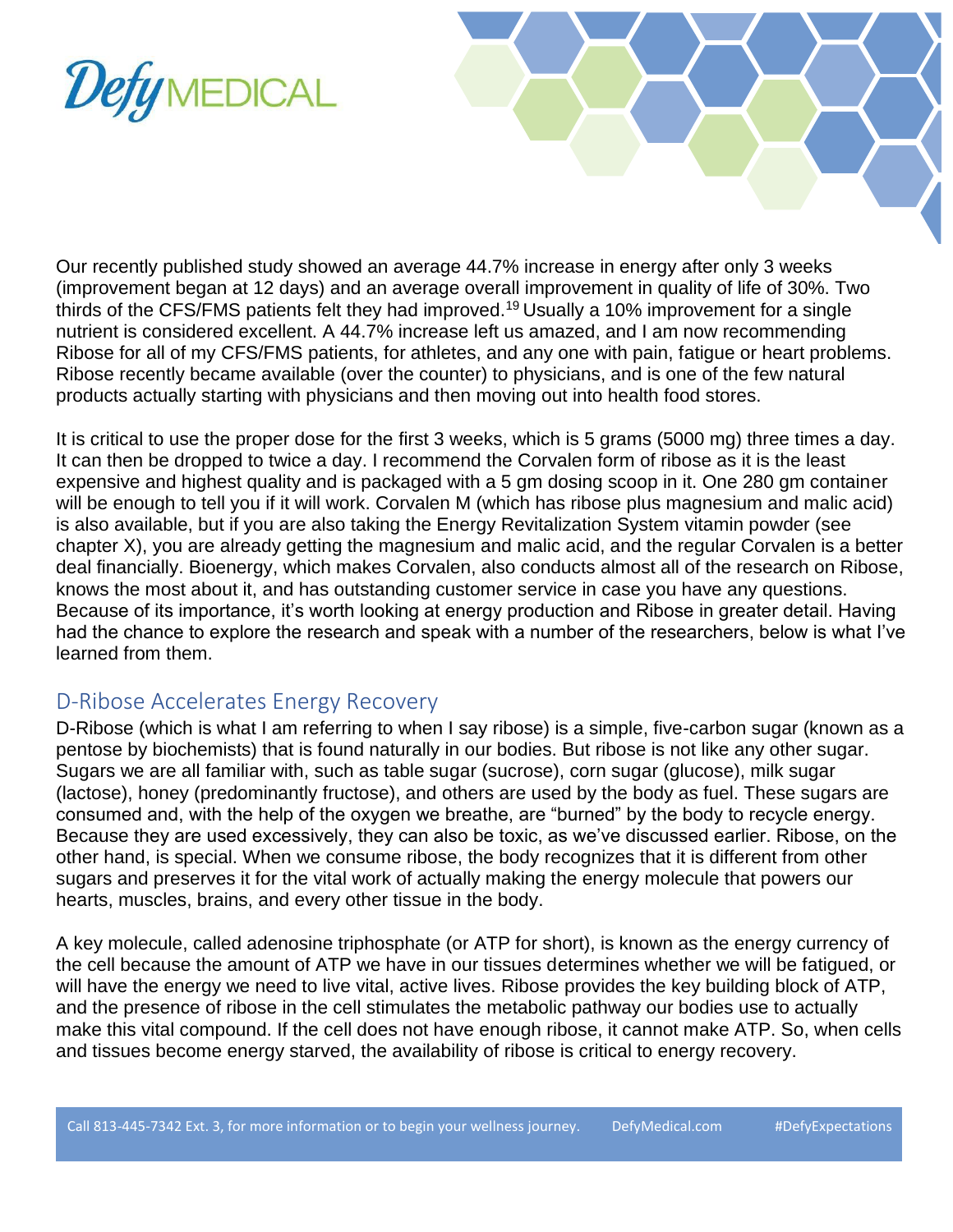



Our recently published study showed an average 44.7% increase in energy after only 3 weeks (improvement began at 12 days) and an average overall improvement in quality of life of 30%. Two thirds of the CFS/FMS patients felt they had improved.<sup>19</sup> Usually a 10% improvement for a single nutrient is considered excellent. A 44.7% increase left us amazed, and I am now recommending Ribose for all of my CFS/FMS patients, for athletes, and any one with pain, fatigue or heart problems. Ribose recently became available (over the counter) to physicians, and is one of the few natural products actually starting with physicians and then moving out into health food stores.

It is critical to use the proper dose for the first 3 weeks, which is 5 grams (5000 mg) three times a day. It can then be dropped to twice a day. I recommend the Corvalen form of ribose as it is the least expensive and highest quality and is packaged with a 5 gm dosing scoop in it. One 280 gm container will be enough to tell you if it will work. Corvalen M (which has ribose plus magnesium and malic acid) is also available, but if you are also taking the Energy Revitalization System vitamin powder (see chapter X), you are already getting the magnesium and malic acid, and the regular Corvalen is a better deal financially. Bioenergy, which makes Corvalen, also conducts almost all of the research on Ribose, knows the most about it, and has outstanding customer service in case you have any questions. Because of its importance, it's worth looking at energy production and Ribose in greater detail. Having had the chance to explore the research and speak with a number of the researchers, below is what I've learned from them.

#### D-Ribose Accelerates Energy Recovery

D-Ribose (which is what I am referring to when I say ribose) is a simple, five-carbon sugar (known as a pentose by biochemists) that is found naturally in our bodies. But ribose is not like any other sugar. Sugars we are all familiar with, such as table sugar (sucrose), corn sugar (glucose), milk sugar (lactose), honey (predominantly fructose), and others are used by the body as fuel. These sugars are consumed and, with the help of the oxygen we breathe, are "burned" by the body to recycle energy. Because they are used excessively, they can also be toxic, as we've discussed earlier. Ribose, on the other hand, is special. When we consume ribose, the body recognizes that it is different from other sugars and preserves it for the vital work of actually making the energy molecule that powers our hearts, muscles, brains, and every other tissue in the body.

A key molecule, called adenosine triphosphate (or ATP for short), is known as the energy currency of the cell because the amount of ATP we have in our tissues determines whether we will be fatigued, or will have the energy we need to live vital, active lives. Ribose provides the key building block of ATP, and the presence of ribose in the cell stimulates the metabolic pathway our bodies use to actually make this vital compound. If the cell does not have enough ribose, it cannot make ATP. So, when cells and tissues become energy starved, the availability of ribose is critical to energy recovery.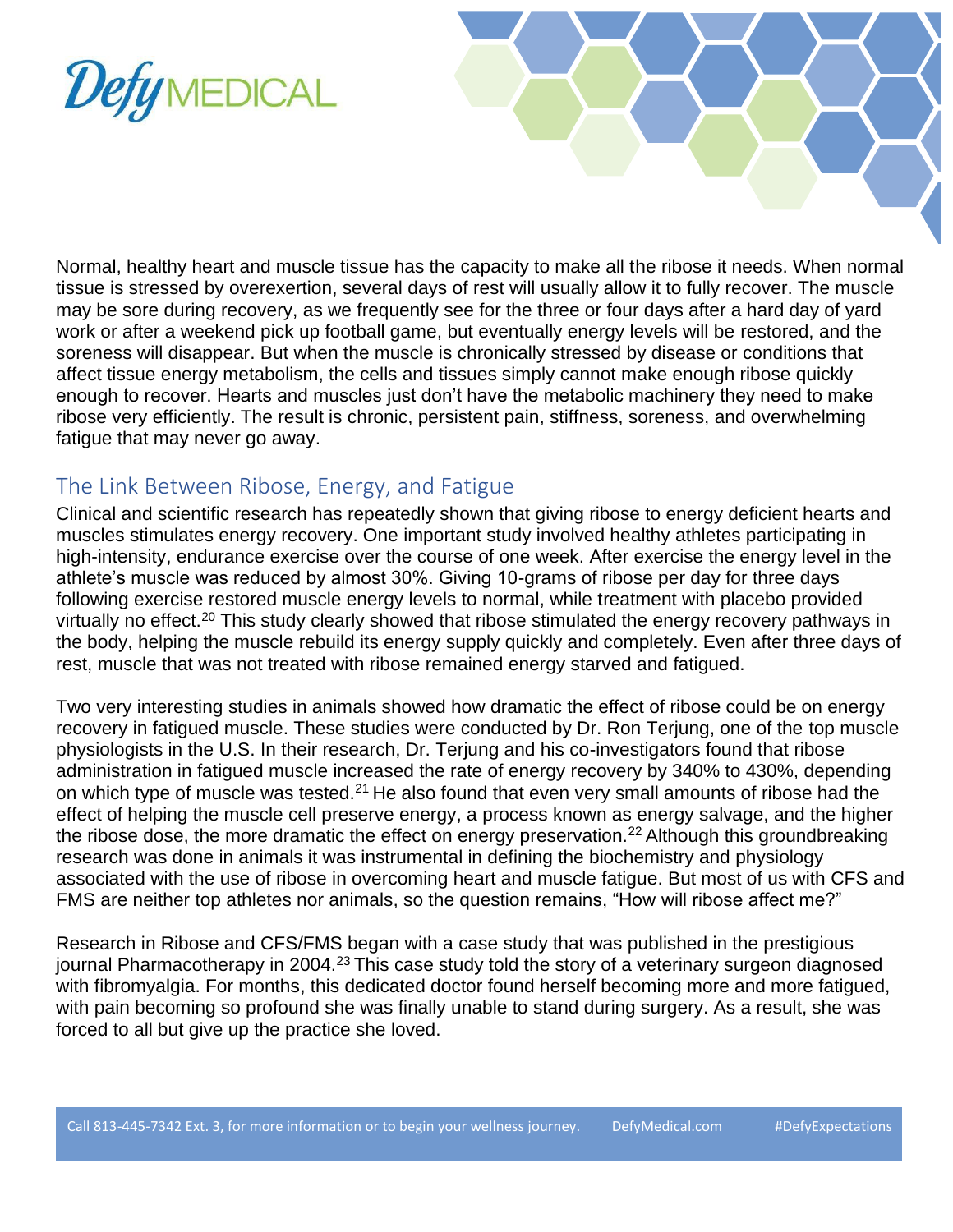



Normal, healthy heart and muscle tissue has the capacity to make all the ribose it needs. When normal tissue is stressed by overexertion, several days of rest will usually allow it to fully recover. The muscle may be sore during recovery, as we frequently see for the three or four days after a hard day of yard work or after a weekend pick up football game, but eventually energy levels will be restored, and the soreness will disappear. But when the muscle is chronically stressed by disease or conditions that affect tissue energy metabolism, the cells and tissues simply cannot make enough ribose quickly enough to recover. Hearts and muscles just don't have the metabolic machinery they need to make ribose very efficiently. The result is chronic, persistent pain, stiffness, soreness, and overwhelming fatigue that may never go away.

# The Link Between Ribose, Energy, and Fatigue

Clinical and scientific research has repeatedly shown that giving ribose to energy deficient hearts and muscles stimulates energy recovery. One important study involved healthy athletes participating in high-intensity, endurance exercise over the course of one week. After exercise the energy level in the athlete's muscle was reduced by almost 30%. Giving 10-grams of ribose per day for three days following exercise restored muscle energy levels to normal, while treatment with placebo provided virtually no effect.<sup>20</sup> This study clearly showed that ribose stimulated the energy recovery pathways in the body, helping the muscle rebuild its energy supply quickly and completely. Even after three days of rest, muscle that was not treated with ribose remained energy starved and fatigued.

Two very interesting studies in animals showed how dramatic the effect of ribose could be on energy recovery in fatigued muscle. These studies were conducted by Dr. Ron Terjung, one of the top muscle physiologists in the U.S. In their research, Dr. Terjung and his co-investigators found that ribose administration in fatigued muscle increased the rate of energy recovery by 340% to 430%, depending on which type of muscle was tested.<sup>21</sup> He also found that even very small amounts of ribose had the effect of helping the muscle cell preserve energy, a process known as energy salvage, and the higher the ribose dose, the more dramatic the effect on energy preservation.<sup>22</sup> Although this groundbreaking research was done in animals it was instrumental in defining the biochemistry and physiology associated with the use of ribose in overcoming heart and muscle fatigue. But most of us with CFS and FMS are neither top athletes nor animals, so the question remains, "How will ribose affect me?"

Research in Ribose and CFS/FMS began with a case study that was published in the prestigious journal Pharmacotherapy in 2004.<sup>23</sup> This case study told the story of a veterinary surgeon diagnosed with fibromyalgia. For months, this dedicated doctor found herself becoming more and more fatigued, with pain becoming so profound she was finally unable to stand during surgery. As a result, she was forced to all but give up the practice she loved.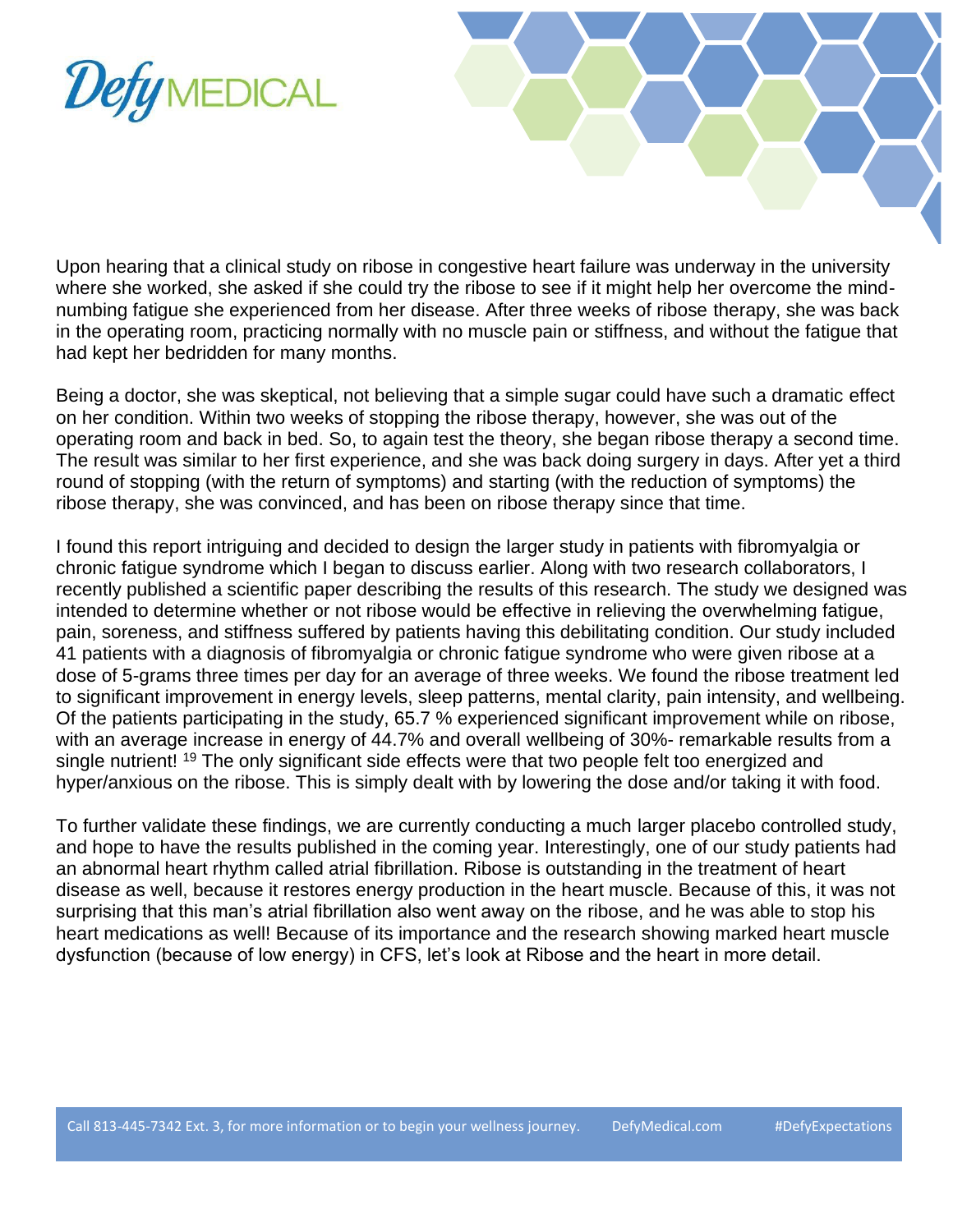



Upon hearing that a clinical study on ribose in congestive heart failure was underway in the university where she worked, she asked if she could try the ribose to see if it might help her overcome the mindnumbing fatigue she experienced from her disease. After three weeks of ribose therapy, she was back in the operating room, practicing normally with no muscle pain or stiffness, and without the fatigue that had kept her bedridden for many months.

Being a doctor, she was skeptical, not believing that a simple sugar could have such a dramatic effect on her condition. Within two weeks of stopping the ribose therapy, however, she was out of the operating room and back in bed. So, to again test the theory, she began ribose therapy a second time. The result was similar to her first experience, and she was back doing surgery in days. After yet a third round of stopping (with the return of symptoms) and starting (with the reduction of symptoms) the ribose therapy, she was convinced, and has been on ribose therapy since that time.

I found this report intriguing and decided to design the larger study in patients with fibromyalgia or chronic fatigue syndrome which I began to discuss earlier. Along with two research collaborators, I recently published a scientific paper describing the results of this research. The study we designed was intended to determine whether or not ribose would be effective in relieving the overwhelming fatigue, pain, soreness, and stiffness suffered by patients having this debilitating condition. Our study included 41 patients with a diagnosis of fibromyalgia or chronic fatigue syndrome who were given ribose at a dose of 5-grams three times per day for an average of three weeks. We found the ribose treatment led to significant improvement in energy levels, sleep patterns, mental clarity, pain intensity, and wellbeing. Of the patients participating in the study, 65.7 % experienced significant improvement while on ribose, with an average increase in energy of 44.7% and overall wellbeing of 30%- remarkable results from a single nutrient!<sup>19</sup> The only significant side effects were that two people felt too energized and hyper/anxious on the ribose. This is simply dealt with by lowering the dose and/or taking it with food.

To further validate these findings, we are currently conducting a much larger placebo controlled study, and hope to have the results published in the coming year. Interestingly, one of our study patients had an abnormal heart rhythm called atrial fibrillation. Ribose is outstanding in the treatment of heart disease as well, because it restores energy production in the heart muscle. Because of this, it was not surprising that this man's atrial fibrillation also went away on the ribose, and he was able to stop his heart medications as well! Because of its importance and the research showing marked heart muscle dysfunction (because of low energy) in CFS, let's look at Ribose and the heart in more detail.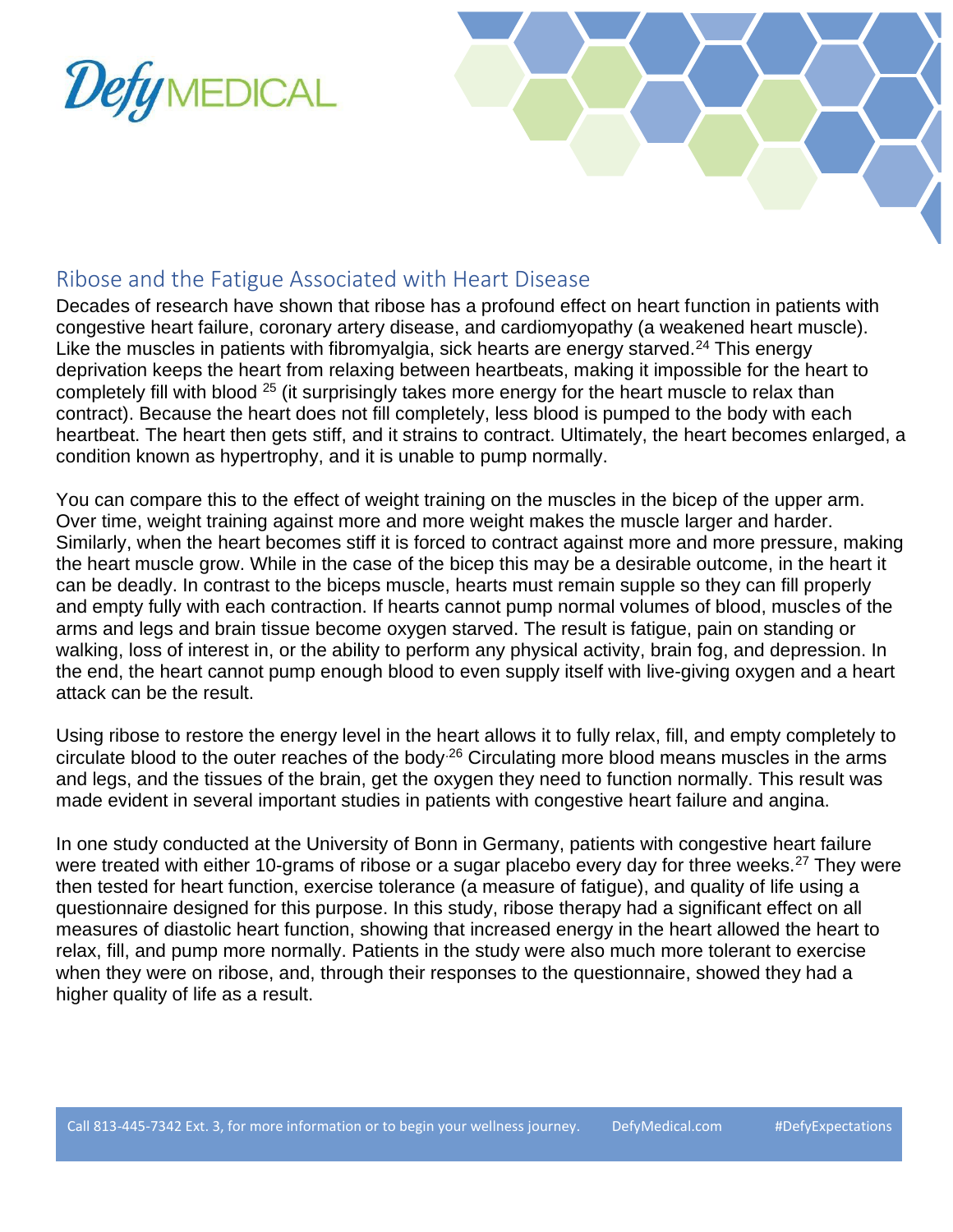



### Ribose and the Fatigue Associated with Heart Disease

Decades of research have shown that ribose has a profound effect on heart function in patients with congestive heart failure, coronary artery disease, and cardiomyopathy (a weakened heart muscle). Like the muscles in patients with fibromyalgia, sick hearts are energy starved.<sup>24</sup> This energy deprivation keeps the heart from relaxing between heartbeats, making it impossible for the heart to completely fill with blood <sup>25</sup> (it surprisingly takes more energy for the heart muscle to relax than contract). Because the heart does not fill completely, less blood is pumped to the body with each heartbeat. The heart then gets stiff, and it strains to contract. Ultimately, the heart becomes enlarged, a condition known as hypertrophy, and it is unable to pump normally.

You can compare this to the effect of weight training on the muscles in the bicep of the upper arm. Over time, weight training against more and more weight makes the muscle larger and harder. Similarly, when the heart becomes stiff it is forced to contract against more and more pressure, making the heart muscle grow. While in the case of the bicep this may be a desirable outcome, in the heart it can be deadly. In contrast to the biceps muscle, hearts must remain supple so they can fill properly and empty fully with each contraction. If hearts cannot pump normal volumes of blood, muscles of the arms and legs and brain tissue become oxygen starved. The result is fatigue, pain on standing or walking, loss of interest in, or the ability to perform any physical activity, brain fog, and depression. In the end, the heart cannot pump enough blood to even supply itself with live-giving oxygen and a heart attack can be the result.

Using ribose to restore the energy level in the heart allows it to fully relax, fill, and empty completely to circulate blood to the outer reaches of the body<sup>-26</sup> Circulating more blood means muscles in the arms and legs, and the tissues of the brain, get the oxygen they need to function normally. This result was made evident in several important studies in patients with congestive heart failure and angina.

In one study conducted at the University of Bonn in Germany, patients with congestive heart failure were treated with either 10-grams of ribose or a sugar placebo every day for three weeks.<sup>27</sup> They were then tested for heart function, exercise tolerance (a measure of fatigue), and quality of life using a questionnaire designed for this purpose. In this study, ribose therapy had a significant effect on all measures of diastolic heart function, showing that increased energy in the heart allowed the heart to relax, fill, and pump more normally. Patients in the study were also much more tolerant to exercise when they were on ribose, and, through their responses to the questionnaire, showed they had a higher quality of life as a result.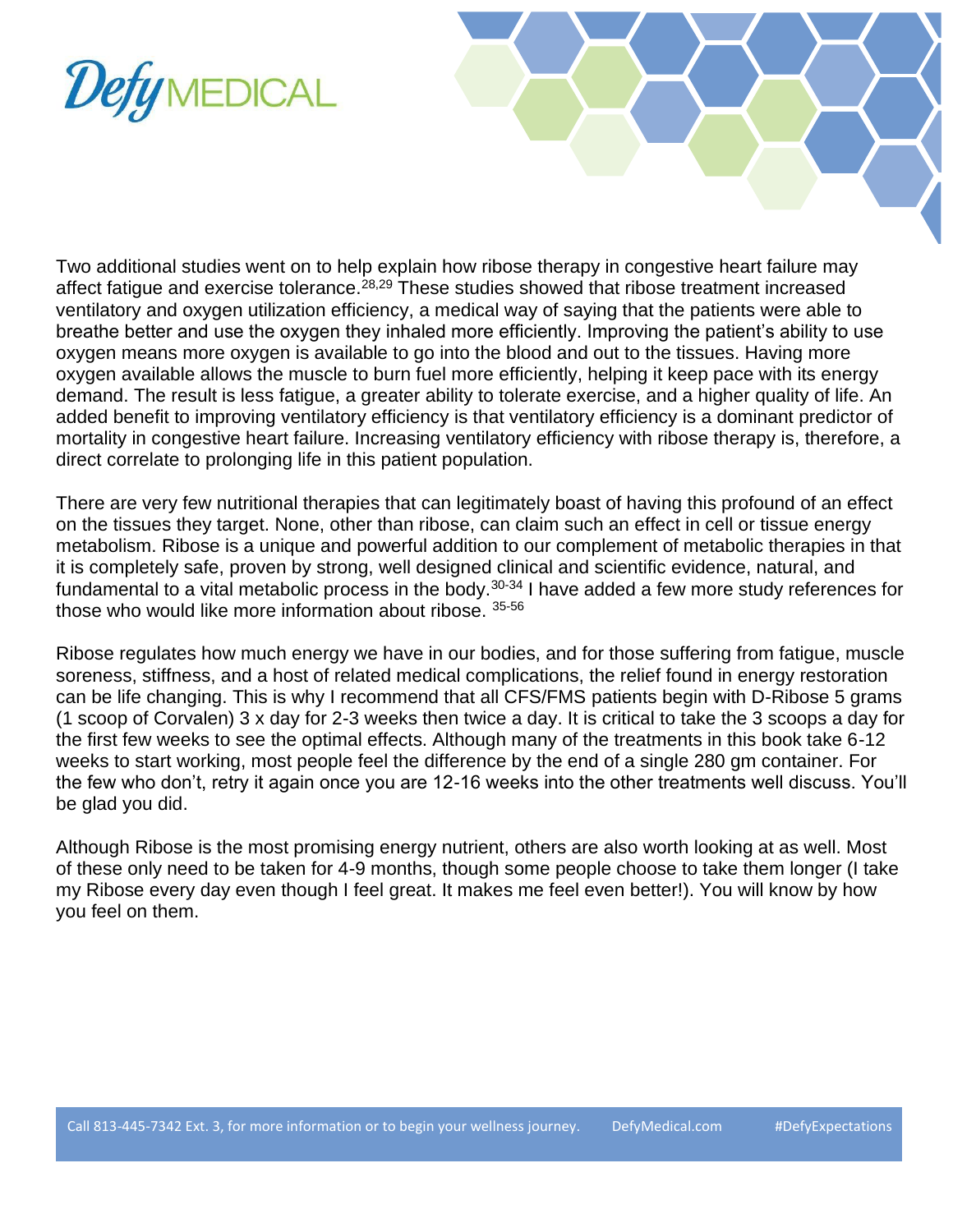



Two additional studies went on to help explain how ribose therapy in congestive heart failure may affect fatigue and exercise tolerance.<sup>28,29</sup> These studies showed that ribose treatment increased ventilatory and oxygen utilization efficiency, a medical way of saying that the patients were able to breathe better and use the oxygen they inhaled more efficiently. Improving the patient's ability to use oxygen means more oxygen is available to go into the blood and out to the tissues. Having more oxygen available allows the muscle to burn fuel more efficiently, helping it keep pace with its energy demand. The result is less fatigue, a greater ability to tolerate exercise, and a higher quality of life. An added benefit to improving ventilatory efficiency is that ventilatory efficiency is a dominant predictor of mortality in congestive heart failure. Increasing ventilatory efficiency with ribose therapy is, therefore, a direct correlate to prolonging life in this patient population.

There are very few nutritional therapies that can legitimately boast of having this profound of an effect on the tissues they target. None, other than ribose, can claim such an effect in cell or tissue energy metabolism. Ribose is a unique and powerful addition to our complement of metabolic therapies in that it is completely safe, proven by strong, well designed clinical and scientific evidence, natural, and fundamental to a vital metabolic process in the body.<sup>30-34</sup> I have added a few more study references for those who would like more information about ribose. 35-56

Ribose regulates how much energy we have in our bodies, and for those suffering from fatigue, muscle soreness, stiffness, and a host of related medical complications, the relief found in energy restoration can be life changing. This is why I recommend that all CFS/FMS patients begin with D-Ribose 5 grams (1 scoop of Corvalen) 3 x day for 2-3 weeks then twice a day. It is critical to take the 3 scoops a day for the first few weeks to see the optimal effects. Although many of the treatments in this book take 6-12 weeks to start working, most people feel the difference by the end of a single 280 gm container. For the few who don't, retry it again once you are 12-16 weeks into the other treatments well discuss. You'll be glad you did.

Although Ribose is the most promising energy nutrient, others are also worth looking at as well. Most of these only need to be taken for 4-9 months, though some people choose to take them longer (I take my Ribose every day even though I feel great. It makes me feel even better!). You will know by how you feel on them.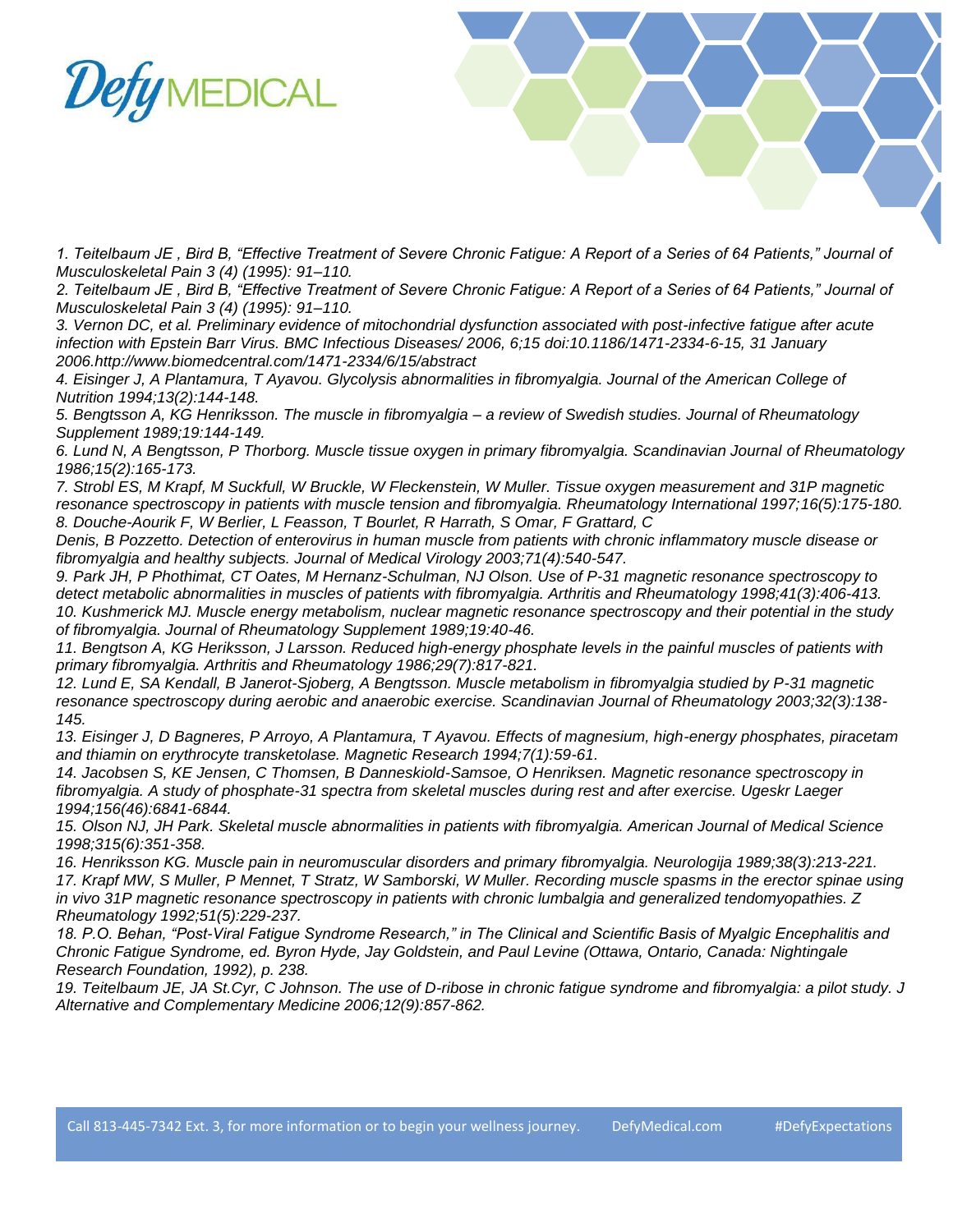



*1. Teitelbaum JE , Bird B, "Effective Treatment of Severe Chronic Fatigue: A Report of a Series of 64 Patients," Journal of Musculoskeletal Pain 3 (4) (1995): 91–110.*

*2. Teitelbaum JE , Bird B, "Effective Treatment of Severe Chronic Fatigue: A Report of a Series of 64 Patients," Journal of Musculoskeletal Pain 3 (4) (1995): 91–110.*

*3. Vernon DC, et al. Preliminary evidence of mitochondrial dysfunction associated with post-infective fatigue after acute infection with Epstein Barr Virus. BMC Infectious Diseases/ 2006, 6;15 doi:10.1186/1471-2334-6-15, 31 January 2006.http://www.biomedcentral.com/1471-2334/6/15/abstract*

*4. Eisinger J, A Plantamura, T Ayavou. Glycolysis abnormalities in fibromyalgia. Journal of the American College of Nutrition 1994;13(2):144-148.*

*5. Bengtsson A, KG Henriksson. The muscle in fibromyalgia – a review of Swedish studies. Journal of Rheumatology Supplement 1989;19:144-149.*

*6. Lund N, A Bengtsson, P Thorborg. Muscle tissue oxygen in primary fibromyalgia. Scandinavian Journal of Rheumatology 1986;15(2):165-173.*

*7. Strobl ES, M Krapf, M Suckfull, W Bruckle, W Fleckenstein, W Muller. Tissue oxygen measurement and 31P magnetic resonance spectroscopy in patients with muscle tension and fibromyalgia. Rheumatology International 1997;16(5):175-180. 8. Douche-Aourik F, W Berlier, L Feasson, T Bourlet, R Harrath, S Omar, F Grattard, C*

*Denis, B Pozzetto. Detection of enterovirus in human muscle from patients with chronic inflammatory muscle disease or fibromyalgia and healthy subjects. Journal of Medical Virology 2003;71(4):540-547.*

*9. Park JH, P Phothimat, CT Oates, M Hernanz-Schulman, NJ Olson. Use of P-31 magnetic resonance spectroscopy to detect metabolic abnormalities in muscles of patients with fibromyalgia. Arthritis and Rheumatology 1998;41(3):406-413. 10. Kushmerick MJ. Muscle energy metabolism, nuclear magnetic resonance spectroscopy and their potential in the study of fibromyalgia. Journal of Rheumatology Supplement 1989;19:40-46.*

*11. Bengtson A, KG Heriksson, J Larsson. Reduced high-energy phosphate levels in the painful muscles of patients with primary fibromyalgia. Arthritis and Rheumatology 1986;29(7):817-821.*

*12. Lund E, SA Kendall, B Janerot-Sjoberg, A Bengtsson. Muscle metabolism in fibromyalgia studied by P-31 magnetic resonance spectroscopy during aerobic and anaerobic exercise. Scandinavian Journal of Rheumatology 2003;32(3):138- 145.*

*13. Eisinger J, D Bagneres, P Arroyo, A Plantamura, T Ayavou. Effects of magnesium, high-energy phosphates, piracetam and thiamin on erythrocyte transketolase. Magnetic Research 1994;7(1):59-61.*

*14. Jacobsen S, KE Jensen, C Thomsen, B Danneskiold-Samsoe, O Henriksen. Magnetic resonance spectroscopy in fibromyalgia. A study of phosphate-31 spectra from skeletal muscles during rest and after exercise. Ugeskr Laeger 1994;156(46):6841-6844.*

*15. Olson NJ, JH Park. Skeletal muscle abnormalities in patients with fibromyalgia. American Journal of Medical Science 1998;315(6):351-358.*

*16. Henriksson KG. Muscle pain in neuromuscular disorders and primary fibromyalgia. Neurologija 1989;38(3):213-221. 17. Krapf MW, S Muller, P Mennet, T Stratz, W Samborski, W Muller. Recording muscle spasms in the erector spinae using in vivo 31P magnetic resonance spectroscopy in patients with chronic lumbalgia and generalized tendomyopathies. Z Rheumatology 1992;51(5):229-237.*

*18. P.O. Behan, "Post-Viral Fatigue Syndrome Research," in The Clinical and Scientific Basis of Myalgic Encephalitis and Chronic Fatigue Syndrome, ed. Byron Hyde, Jay Goldstein, and Paul Levine (Ottawa, Ontario, Canada: Nightingale Research Foundation, 1992), p. 238.*

*19. Teitelbaum JE, JA St.Cyr, C Johnson. The use of D-ribose in chronic fatigue syndrome and fibromyalgia: a pilot study. J Alternative and Complementary Medicine 2006;12(9):857-862.*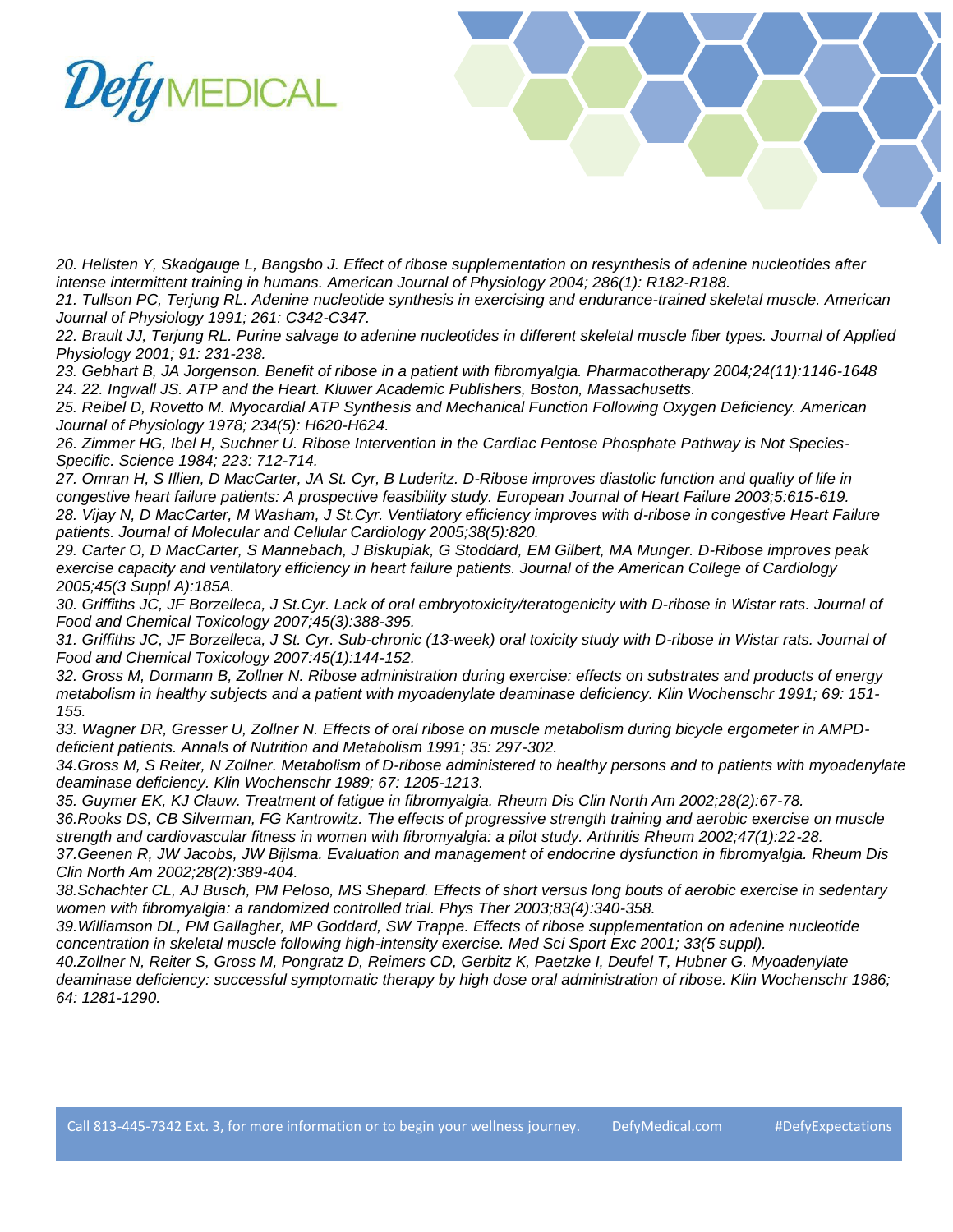



*20. Hellsten Y, Skadgauge L, Bangsbo J. Effect of ribose supplementation on resynthesis of adenine nucleotides after intense intermittent training in humans. American Journal of Physiology 2004; 286(1): R182-R188.*

*21. Tullson PC, Terjung RL. Adenine nucleotide synthesis in exercising and endurance-trained skeletal muscle. American Journal of Physiology 1991; 261: C342-C347.*

*22. Brault JJ, Terjung RL. Purine salvage to adenine nucleotides in different skeletal muscle fiber types. Journal of Applied Physiology 2001; 91: 231-238.*

*23. Gebhart B, JA Jorgenson. Benefit of ribose in a patient with fibromyalgia. Pharmacotherapy 2004;24(11):1146-1648 24. 22. Ingwall JS. ATP and the Heart. Kluwer Academic Publishers, Boston, Massachusetts.*

*25. Reibel D, Rovetto M. Myocardial ATP Synthesis and Mechanical Function Following Oxygen Deficiency. American Journal of Physiology 1978; 234(5): H620-H624.*

*26. Zimmer HG, Ibel H, Suchner U. Ribose Intervention in the Cardiac Pentose Phosphate Pathway is Not Species-Specific. Science 1984; 223: 712-714.*

*27. Omran H, S Illien, D MacCarter, JA St. Cyr, B Luderitz. D-Ribose improves diastolic function and quality of life in congestive heart failure patients: A prospective feasibility study. European Journal of Heart Failure 2003;5:615-619. 28. Vijay N, D MacCarter, M Washam, J St.Cyr. Ventilatory efficiency improves with d-ribose in congestive Heart Failure patients. Journal of Molecular and Cellular Cardiology 2005;38(5):820.*

*29. Carter O, D MacCarter, S Mannebach, J Biskupiak, G Stoddard, EM Gilbert, MA Munger. D-Ribose improves peak exercise capacity and ventilatory efficiency in heart failure patients. Journal of the American College of Cardiology 2005;45(3 Suppl A):185A.*

*30. Griffiths JC, JF Borzelleca, J St.Cyr. Lack of oral embryotoxicity/teratogenicity with D-ribose in Wistar rats. Journal of Food and Chemical Toxicology 2007;45(3):388-395.*

*31. Griffiths JC, JF Borzelleca, J St. Cyr. Sub-chronic (13-week) oral toxicity study with D-ribose in Wistar rats. Journal of Food and Chemical Toxicology 2007:45(1):144-152.*

*32. Gross M, Dormann B, Zollner N. Ribose administration during exercise: effects on substrates and products of energy metabolism in healthy subjects and a patient with myoadenylate deaminase deficiency. Klin Wochenschr 1991; 69: 151- 155.*

*33. Wagner DR, Gresser U, Zollner N. Effects of oral ribose on muscle metabolism during bicycle ergometer in AMPDdeficient patients. Annals of Nutrition and Metabolism 1991; 35: 297-302.*

*34.Gross M, S Reiter, N Zollner. Metabolism of D-ribose administered to healthy persons and to patients with myoadenylate deaminase deficiency. Klin Wochenschr 1989; 67: 1205-1213.*

*35. Guymer EK, KJ Clauw. Treatment of fatigue in fibromyalgia. Rheum Dis Clin North Am 2002;28(2):67-78. 36.Rooks DS, CB Silverman, FG Kantrowitz. The effects of progressive strength training and aerobic exercise on muscle strength and cardiovascular fitness in women with fibromyalgia: a pilot study. Arthritis Rheum 2002;47(1):22-28.*

*37.Geenen R, JW Jacobs, JW Bijlsma. Evaluation and management of endocrine dysfunction in fibromyalgia. Rheum Dis Clin North Am 2002;28(2):389-404.*

*38.Schachter CL, AJ Busch, PM Peloso, MS Shepard. Effects of short versus long bouts of aerobic exercise in sedentary women with fibromyalgia: a randomized controlled trial. Phys Ther 2003;83(4):340-358.*

*39.Williamson DL, PM Gallagher, MP Goddard, SW Trappe. Effects of ribose supplementation on adenine nucleotide concentration in skeletal muscle following high-intensity exercise. Med Sci Sport Exc 2001; 33(5 suppl).*

*40.Zollner N, Reiter S, Gross M, Pongratz D, Reimers CD, Gerbitz K, Paetzke I, Deufel T, Hubner G. Myoadenylate deaminase deficiency: successful symptomatic therapy by high dose oral administration of ribose. Klin Wochenschr 1986; 64: 1281-1290.*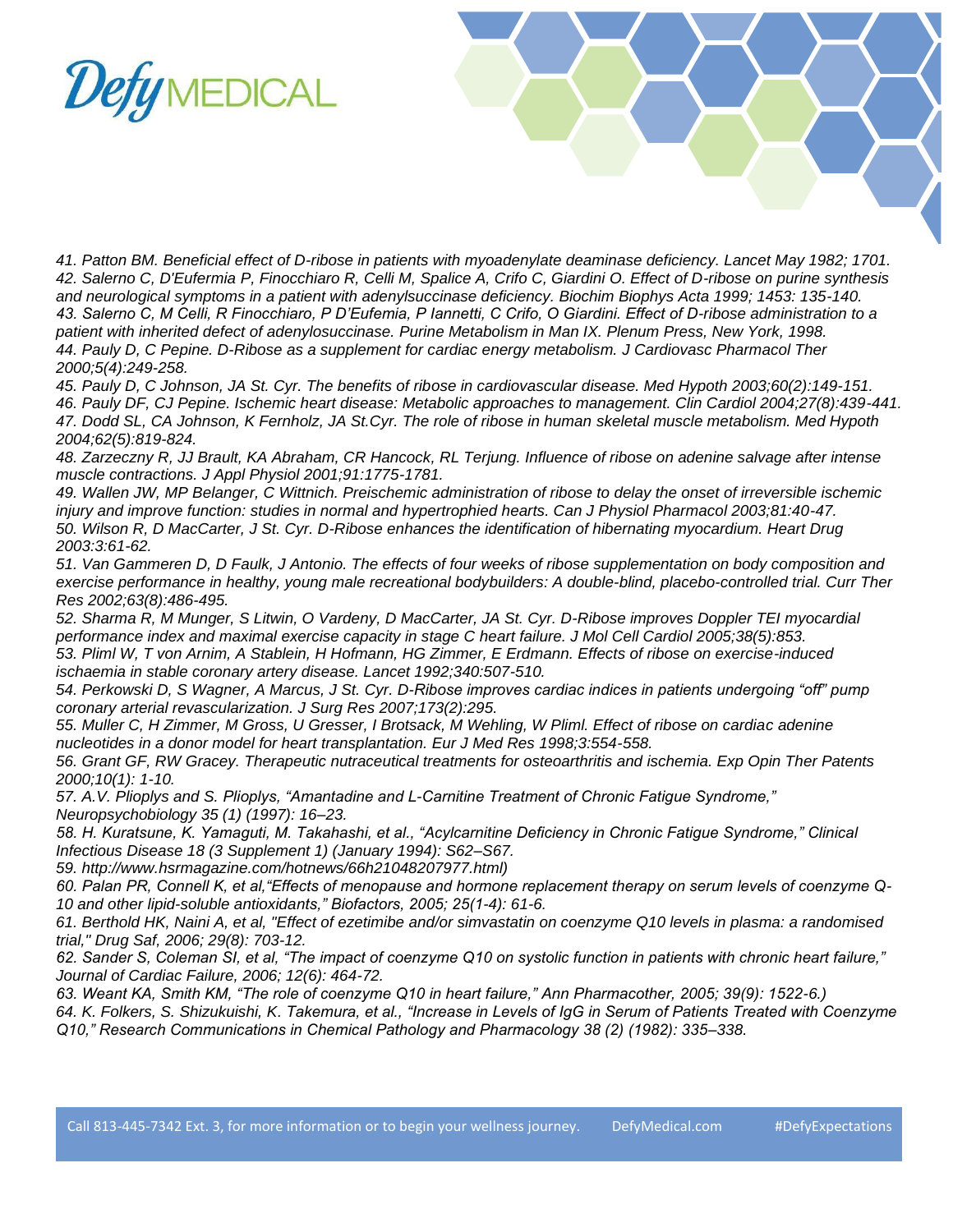



*41. Patton BM. Beneficial effect of D-ribose in patients with myoadenylate deaminase deficiency. Lancet May 1982; 1701. 42. Salerno C, D'Eufermia P, Finocchiaro R, Celli M, Spalice A, Crifo C, Giardini O. Effect of D-ribose on purine synthesis and neurological symptoms in a patient with adenylsuccinase deficiency. Biochim Biophys Acta 1999; 1453: 135-140. 43. Salerno C, M Celli, R Finocchiaro, P D'Eufemia, P Iannetti, C Crifo, O Giardini. Effect of D-ribose administration to a patient with inherited defect of adenylosuccinase. Purine Metabolism in Man IX. Plenum Press, New York, 1998. 44. Pauly D, C Pepine. D-Ribose as a supplement for cardiac energy metabolism. J Cardiovasc Pharmacol Ther 2000;5(4):249-258.*

*45. Pauly D, C Johnson, JA St. Cyr. The benefits of ribose in cardiovascular disease. Med Hypoth 2003;60(2):149-151. 46. Pauly DF, CJ Pepine. Ischemic heart disease: Metabolic approaches to management. Clin Cardiol 2004;27(8):439-441. 47. Dodd SL, CA Johnson, K Fernholz, JA St.Cyr. The role of ribose in human skeletal muscle metabolism. Med Hypoth 2004;62(5):819-824.*

*48. Zarzeczny R, JJ Brault, KA Abraham, CR Hancock, RL Terjung. Influence of ribose on adenine salvage after intense muscle contractions. J Appl Physiol 2001;91:1775-1781.*

*49. Wallen JW, MP Belanger, C Wittnich. Preischemic administration of ribose to delay the onset of irreversible ischemic injury and improve function: studies in normal and hypertrophied hearts. Can J Physiol Pharmacol 2003;81:40-47. 50. Wilson R, D MacCarter, J St. Cyr. D-Ribose enhances the identification of hibernating myocardium. Heart Drug 2003:3:61-62.*

*51. Van Gammeren D, D Faulk, J Antonio. The effects of four weeks of ribose supplementation on body composition and exercise performance in healthy, young male recreational bodybuilders: A double-blind, placebo-controlled trial. Curr Ther Res 2002;63(8):486-495.*

*52. Sharma R, M Munger, S Litwin, O Vardeny, D MacCarter, JA St. Cyr. D-Ribose improves Doppler TEI myocardial performance index and maximal exercise capacity in stage C heart failure. J Mol Cell Cardiol 2005;38(5):853. 53. Pliml W, T von Arnim, A Stablein, H Hofmann, HG Zimmer, E Erdmann. Effects of ribose on exercise-induced ischaemia in stable coronary artery disease. Lancet 1992;340:507-510.*

*54. Perkowski D, S Wagner, A Marcus, J St. Cyr. D-Ribose improves cardiac indices in patients undergoing "off" pump coronary arterial revascularization. J Surg Res 2007;173(2):295.*

*55. Muller C, H Zimmer, M Gross, U Gresser, I Brotsack, M Wehling, W Pliml. Effect of ribose on cardiac adenine nucleotides in a donor model for heart transplantation. Eur J Med Res 1998;3:554-558.*

*56. Grant GF, RW Gracey. Therapeutic nutraceutical treatments for osteoarthritis and ischemia. Exp Opin Ther Patents 2000;10(1): 1-10.*

*57. A.V. Plioplys and S. Plioplys, "Amantadine and L-Carnitine Treatment of Chronic Fatigue Syndrome," Neuropsychobiology 35 (1) (1997): 16–23.*

*58. H. Kuratsune, K. Yamaguti, M. Takahashi, et al., "Acylcarnitine Deficiency in Chronic Fatigue Syndrome," Clinical Infectious Disease 18 (3 Supplement 1) (January 1994): S62–S67.*

*59. http://www.hsrmagazine.com/hotnews/66h21048207977.html)*

*60. Palan PR, Connell K, et al,"Effects of menopause and hormone replacement therapy on serum levels of coenzyme Q-10 and other lipid-soluble antioxidants," Biofactors, 2005; 25(1-4): 61-6.*

*61. Berthold HK, Naini A, et al, "Effect of ezetimibe and/or simvastatin on coenzyme Q10 levels in plasma: a randomised trial," Drug Saf, 2006; 29(8): 703-12.*

*62. Sander S, Coleman SI, et al, "The impact of coenzyme Q10 on systolic function in patients with chronic heart failure," Journal of Cardiac Failure, 2006; 12(6): 464-72.*

*63. Weant KA, Smith KM, "The role of coenzyme Q10 in heart failure," Ann Pharmacother, 2005; 39(9): 1522-6.)*

*64. K. Folkers, S. Shizukuishi, K. Takemura, et al., "Increase in Levels of IgG in Serum of Patients Treated with Coenzyme Q10," Research Communications in Chemical Pathology and Pharmacology 38 (2) (1982): 335–338.*